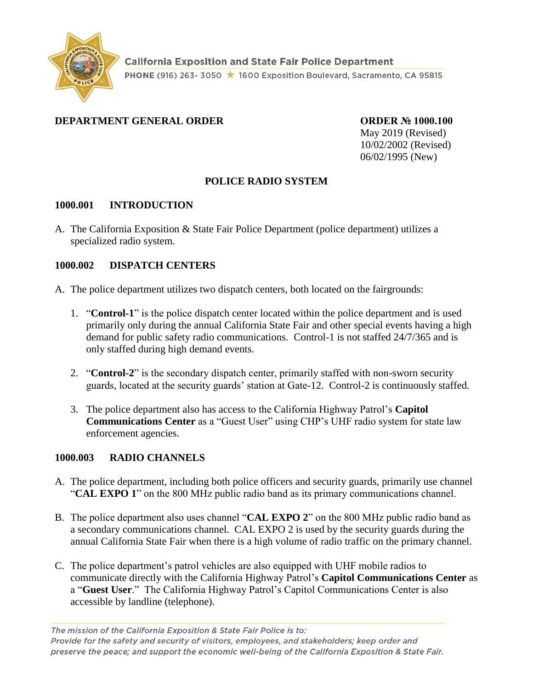

### **DEPARTMENT GENERAL ORDER ORDER № 1000.100**

May 2019 (Revised) 10/02/2002 (Revised) 06/02/1995 (New)

# **POLICE RADIO SYSTEM**

#### **1000.001 INTRODUCTION**

A. The California Exposition & State Fair Police Department (police department) utilizes a specialized radio system.

### **1000.002 DISPATCH CENTERS**

- A. The police department utilizes two dispatch centers, both located on the fairgrounds:
	- 1. "**Control-1**" is the police dispatch center located within the police department and is used primarily only during the annual California State Fair and other special events having a high demand for public safety radio communications. Control-1 is not staffed 24/7/365 and is only staffed during high demand events.
	- 2. "**Control-2**" is the secondary dispatch center, primarily staffed with non-sworn security guards, located at the security guards' station at Gate-12. Control-2 is continuously staffed.
	- 3. The police department also has access to the California Highway Patrol's **Capitol Communications Center** as a "Guest User" using CHP's UHF radio system for state law enforcement agencies.

### **1000.003 RADIO CHANNELS**

- A. The police department, including both police officers and security guards, primarily use channel "**CAL EXPO 1**" on the 800 MHz public radio band as its primary communications channel.
- B. The police department also uses channel "**CAL EXPO 2**" on the 800 MHz public radio band as a secondary communications channel. CAL EXPO 2 is used by the security guards during the annual California State Fair when there is a high volume of radio traffic on the primary channel.
- C. The police department's patrol vehicles are also equipped with UHF mobile radios to communicate directly with the California Highway Patrol's **Capitol Communications Center** as a "**Guest User**." The California Highway Patrol's Capitol Communications Center is also accessible by landline (telephone).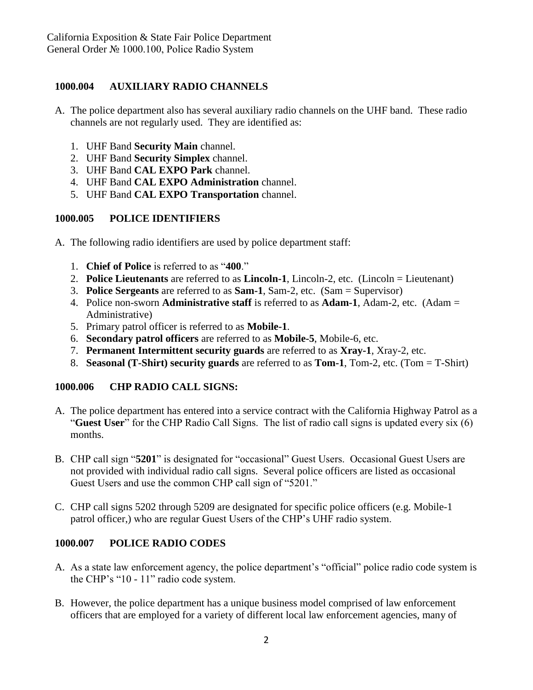# **1000.004 AUXILIARY RADIO CHANNELS**

- A. The police department also has several auxiliary radio channels on the UHF band. These radio channels are not regularly used. They are identified as:
	- 1. UHF Band **Security Main** channel.
	- 2. UHF Band **Security Simplex** channel.
	- 3. UHF Band **CAL EXPO Park** channel.
	- 4. UHF Band **CAL EXPO Administration** channel.
	- 5. UHF Band **CAL EXPO Transportation** channel.

### **1000.005 POLICE IDENTIFIERS**

- A. The following radio identifiers are used by police department staff:
	- 1. **Chief of Police** is referred to as "**400**."
	- 2. **Police Lieutenants** are referred to as **Lincoln-1**, Lincoln-2, etc. (Lincoln = Lieutenant)
	- 3. **Police Sergeants** are referred to as **Sam-1**, Sam-2, etc. (Sam = Supervisor)
	- 4. Police non-sworn **Administrative staff** is referred to as **Adam-1**, Adam-2, etc. (Adam = Administrative)
	- 5. Primary patrol officer is referred to as **Mobile-1**.
	- 6. **Secondary patrol officers** are referred to as **Mobile-5**, Mobile-6, etc.
	- 7. **Permanent Intermittent security guards** are referred to as **Xray-1**, Xray-2, etc.
	- 8. **Seasonal (T-Shirt) security guards** are referred to as **Tom-1**, Tom-2, etc. (Tom = T-Shirt)

# **1000.006 CHP RADIO CALL SIGNS:**

- A. The police department has entered into a service contract with the California Highway Patrol as a "**Guest User**" for the CHP Radio Call Signs. The list of radio call signs is updated every six (6) months.
- B. CHP call sign "**5201**" is designated for "occasional" Guest Users. Occasional Guest Users are not provided with individual radio call signs. Several police officers are listed as occasional Guest Users and use the common CHP call sign of "5201."
- C. CHP call signs 5202 through 5209 are designated for specific police officers (e.g. Mobile-1 patrol officer,) who are regular Guest Users of the CHP's UHF radio system.

# **1000.007 POLICE RADIO CODES**

- A. As a state law enforcement agency, the police department's "official" police radio code system is the CHP's "10 - 11" radio code system.
- B. However, the police department has a unique business model comprised of law enforcement officers that are employed for a variety of different local law enforcement agencies, many of